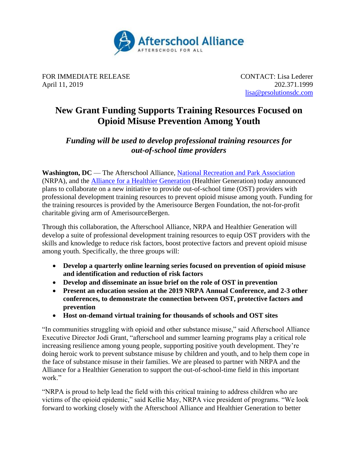

FOR IMMEDIATE RELEASE CONTACT: Lisa Lederer April 11, 2019 202.371.1999

[lisa@prsolutionsdc.com](mailto:lisa@prsolutionsdc.com)

# **New Grant Funding Supports Training Resources Focused on Opioid Misuse Prevention Among Youth**

# *Funding will be used to develop professional training resources for out-of-school time providers*

**Washington, DC** — The Afterschool Alliance, [National Recreation and Park Association](https://www.nrpa.org/) (NRPA), and the [Alliance for a Healthier Generation](https://www.healthiergeneration.org/) (Healthier Generation) today announced plans to collaborate on a new initiative to provide out-of-school time (OST) providers with professional development training resources to prevent opioid misuse among youth. Funding for the training resources is provided by the Amerisource Bergen Foundation, the not-for-profit charitable giving arm of AmerisourceBergen.

Through this collaboration, the Afterschool Alliance, NRPA and Healthier Generation will develop a suite of professional development training resources to equip OST providers with the skills and knowledge to reduce risk factors, boost protective factors and prevent opioid misuse among youth. Specifically, the three groups will:

- **Develop a quarterly online learning series focused on prevention of opioid misuse and identification and reduction of risk factors**
- **Develop and disseminate an issue brief on the role of OST in prevention**
- **Present an education session at the 2019 NRPA Annual Conference, and 2-3 other conferences, to demonstrate the connection between OST, protective factors and prevention**
- **Host on-demand virtual training for thousands of schools and OST sites**

"In communities struggling with opioid and other substance misuse," said Afterschool Alliance Executive Director Jodi Grant, "afterschool and summer learning programs play a critical role increasing resilience among young people, supporting positive youth development. They're doing heroic work to prevent substance misuse by children and youth, and to help them cope in the face of substance misuse in their families. We are pleased to partner with NRPA and the Alliance for a Healthier Generation to support the out-of-school-time field in this important work."

"NRPA is proud to help lead the field with this critical training to address children who are victims of the opioid epidemic," said Kellie May, NRPA vice president of programs. "We look forward to working closely with the Afterschool Alliance and Healthier Generation to better